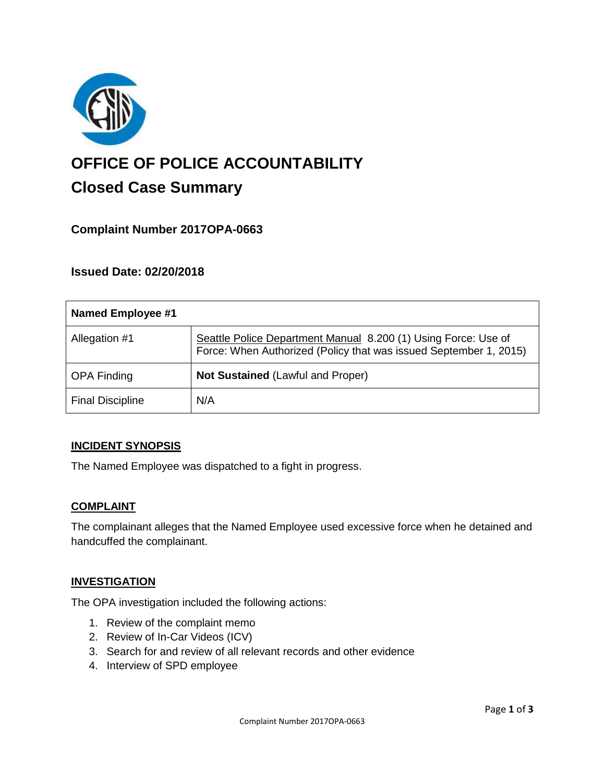

# **OFFICE OF POLICE ACCOUNTABILITY**

# **Closed Case Summary**

# **Complaint Number 2017OPA-0663**

# **Issued Date: 02/20/2018**

| Named Employee #1       |                                                                                                                                     |
|-------------------------|-------------------------------------------------------------------------------------------------------------------------------------|
| Allegation #1           | Seattle Police Department Manual 8.200 (1) Using Force: Use of<br>Force: When Authorized (Policy that was issued September 1, 2015) |
| <b>OPA Finding</b>      | <b>Not Sustained (Lawful and Proper)</b>                                                                                            |
| <b>Final Discipline</b> | N/A                                                                                                                                 |

# **INCIDENT SYNOPSIS**

The Named Employee was dispatched to a fight in progress.

# **COMPLAINT**

The complainant alleges that the Named Employee used excessive force when he detained and handcuffed the complainant.

#### **INVESTIGATION**

The OPA investigation included the following actions:

- 1. Review of the complaint memo
- 2. Review of In-Car Videos (ICV)
- 3. Search for and review of all relevant records and other evidence
- 4. Interview of SPD employee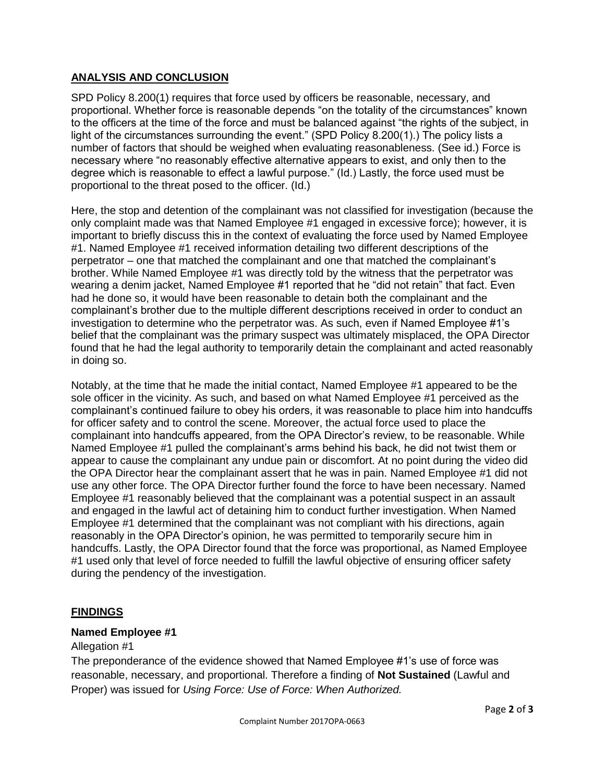### **ANALYSIS AND CONCLUSION**

SPD Policy 8.200(1) requires that force used by officers be reasonable, necessary, and proportional. Whether force is reasonable depends "on the totality of the circumstances" known to the officers at the time of the force and must be balanced against "the rights of the subject, in light of the circumstances surrounding the event." (SPD Policy 8.200(1).) The policy lists a number of factors that should be weighed when evaluating reasonableness. (See id.) Force is necessary where "no reasonably effective alternative appears to exist, and only then to the degree which is reasonable to effect a lawful purpose." (Id.) Lastly, the force used must be proportional to the threat posed to the officer. (Id.)

Here, the stop and detention of the complainant was not classified for investigation (because the only complaint made was that Named Employee #1 engaged in excessive force); however, it is important to briefly discuss this in the context of evaluating the force used by Named Employee #1. Named Employee #1 received information detailing two different descriptions of the perpetrator – one that matched the complainant and one that matched the complainant's brother. While Named Employee #1 was directly told by the witness that the perpetrator was wearing a denim jacket, Named Employee #1 reported that he "did not retain" that fact. Even had he done so, it would have been reasonable to detain both the complainant and the complainant's brother due to the multiple different descriptions received in order to conduct an investigation to determine who the perpetrator was. As such, even if Named Employee #1's belief that the complainant was the primary suspect was ultimately misplaced, the OPA Director found that he had the legal authority to temporarily detain the complainant and acted reasonably in doing so.

Notably, at the time that he made the initial contact, Named Employee #1 appeared to be the sole officer in the vicinity. As such, and based on what Named Employee #1 perceived as the complainant's continued failure to obey his orders, it was reasonable to place him into handcuffs for officer safety and to control the scene. Moreover, the actual force used to place the complainant into handcuffs appeared, from the OPA Director's review, to be reasonable. While Named Employee #1 pulled the complainant's arms behind his back, he did not twist them or appear to cause the complainant any undue pain or discomfort. At no point during the video did the OPA Director hear the complainant assert that he was in pain. Named Employee #1 did not use any other force. The OPA Director further found the force to have been necessary. Named Employee #1 reasonably believed that the complainant was a potential suspect in an assault and engaged in the lawful act of detaining him to conduct further investigation. When Named Employee #1 determined that the complainant was not compliant with his directions, again reasonably in the OPA Director's opinion, he was permitted to temporarily secure him in handcuffs. Lastly, the OPA Director found that the force was proportional, as Named Employee #1 used only that level of force needed to fulfill the lawful objective of ensuring officer safety during the pendency of the investigation.

# **FINDINGS**

#### **Named Employee #1**

#### Allegation #1

The preponderance of the evidence showed that Named Employee #1's use of force was reasonable, necessary, and proportional. Therefore a finding of **Not Sustained** (Lawful and Proper) was issued for *Using Force: Use of Force: When Authorized.*